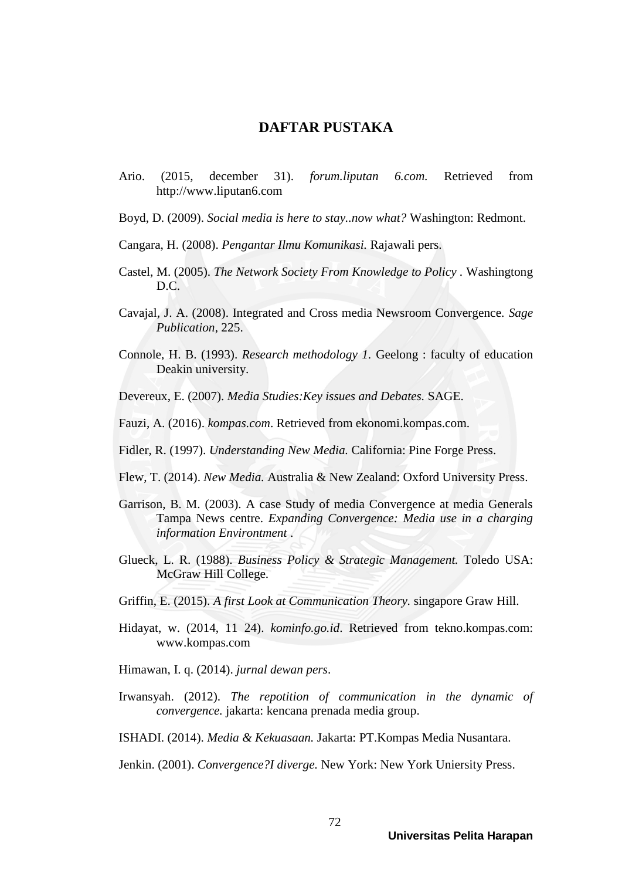## **DAFTAR PUSTAKA**

- Ario. (2015, december 31). *forum.liputan 6.com.* Retrieved from http://www.liputan6.com
- Boyd, D. (2009). *Social media is here to stay..now what?* Washington: Redmont.
- Cangara, H. (2008). *Pengantar Ilmu Komunikasi.* Rajawali pers.
- Castel, M. (2005). *The Network Society From Knowledge to Policy .* Washingtong D.C.
- Cavajal, J. A. (2008). Integrated and Cross media Newsroom Convergence. *Sage Publication*, 225.
- Connole, H. B. (1993). *Research methodology 1.* Geelong : faculty of education Deakin university.
- Devereux, E. (2007). *Media Studies:Key issues and Debates.* SAGE.
- Fauzi, A. (2016). *kompas.com*. Retrieved from ekonomi.kompas.com.
- Fidler, R. (1997). *Understanding New Media.* California: Pine Forge Press.
- Flew, T. (2014). *New Media.* Australia & New Zealand: Oxford University Press.
- Garrison, B. M. (2003). A case Study of media Convergence at media Generals Tampa News centre. *Expanding Convergence: Media use in a charging information Environtment* .
- Glueck, L. R. (1988). *Business Policy & Strategic Management.* Toledo USA: McGraw Hill College.
- Griffin, E. (2015). *A first Look at Communication Theory.* singapore Graw Hill.
- Hidayat, w. (2014, 11 24). *kominfo.go.id*. Retrieved from tekno.kompas.com: www.kompas.com
- Himawan, I. q. (2014). *jurnal dewan pers*.
- Irwansyah. (2012). *The repotition of communication in the dynamic of convergence.* jakarta: kencana prenada media group.
- ISHADI. (2014). *Media & Kekuasaan.* Jakarta: PT.Kompas Media Nusantara.
- Jenkin. (2001). *Convergence?I diverge.* New York: New York Uniersity Press.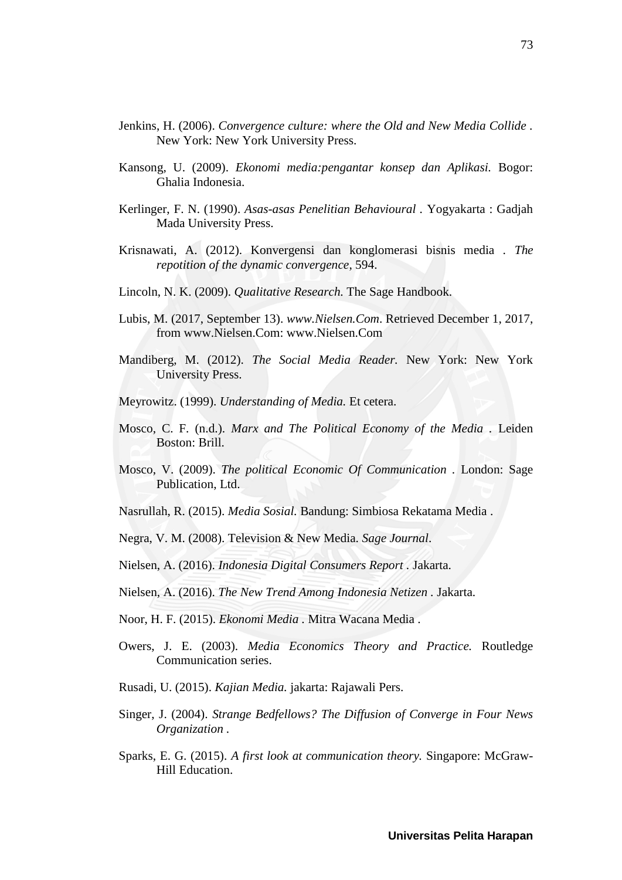- Jenkins, H. (2006). *Convergence culture: where the Old and New Media Collide .* New York: New York University Press.
- Kansong, U. (2009). *Ekonomi media:pengantar konsep dan Aplikasi.* Bogor: Ghalia Indonesia.
- Kerlinger, F. N. (1990). *Asas-asas Penelitian Behavioural .* Yogyakarta : Gadjah Mada University Press.
- Krisnawati, A. (2012). Konvergensi dan konglomerasi bisnis media . *The repotition of the dynamic convergence*, 594.
- Lincoln, N. K. (2009). *Qualitative Research.* The Sage Handbook.
- Lubis, M. (2017, September 13). *www.Nielsen.Com*. Retrieved December 1, 2017, from www.Nielsen.Com: www.Nielsen.Com
- Mandiberg, M. (2012). *The Social Media Reader.* New York: New York University Press.
- Meyrowitz. (1999). *Understanding of Media.* Et cetera.
- Mosco, C. F. (n.d.). *Marx and The Political Economy of the Media .* Leiden Boston: Brill.
- Mosco, V. (2009). *The political Economic Of Communication .* London: Sage Publication, Ltd.
- Nasrullah, R. (2015). *Media Sosial.* Bandung: Simbiosa Rekatama Media .
- Negra, V. M. (2008). Television & New Media. *Sage Journal*.
- Nielsen, A. (2016). *Indonesia Digital Consumers Report .* Jakarta.
- Nielsen, A. (2016). *The New Trend Among Indonesia Netizen .* Jakarta.
- Noor, H. F. (2015). *Ekonomi Media .* Mitra Wacana Media .
- Owers, J. E. (2003). *Media Economics Theory and Practice.* Routledge Communication series.
- Rusadi, U. (2015). *Kajian Media.* jakarta: Rajawali Pers.
- Singer, J. (2004). *Strange Bedfellows? The Diffusion of Converge in Four News Organization .*
- Sparks, E. G. (2015). *A first look at communication theory.* Singapore: McGraw-Hill Education.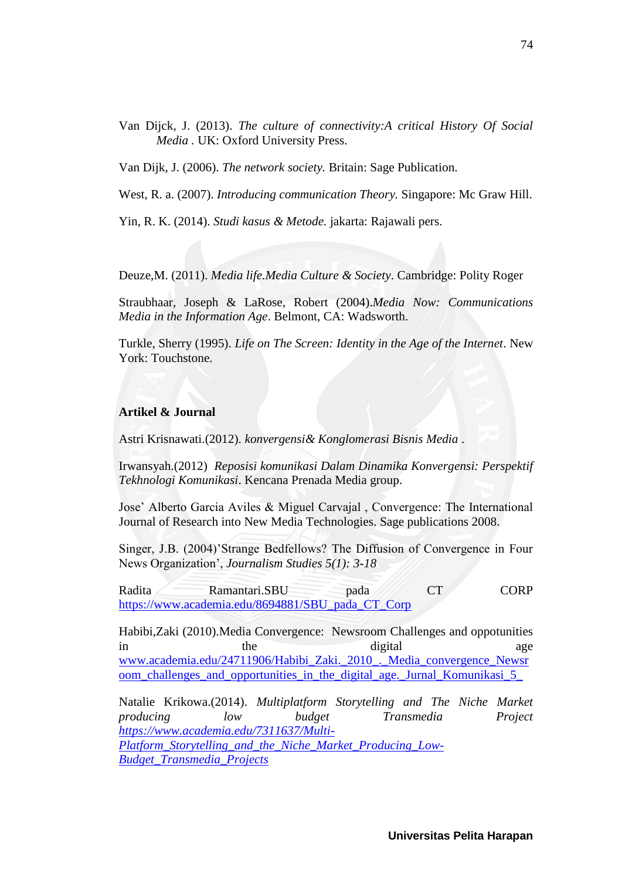Van Dijck, J. (2013). *The culture of connectivity:A critical History Of Social Media .* UK: Oxford University Press.

Van Dijk, J. (2006). *The network society.* Britain: Sage Publication.

West, R. a. (2007). *Introducing communication Theory.* Singapore: Mc Graw Hill.

Yin, R. K. (2014). *Studi kasus & Metode.* jakarta: Rajawali pers.

Deuze,M. (2011). *Media life.Media Culture & Society*. Cambridge: Polity Roger

Straubhaar, Joseph & LaRose, Robert (2004).*Media Now: Communications Media in the Information Age*. Belmont, CA: Wadsworth.

Turkle, Sherry (1995). *Life on The Screen: Identity in the Age of the Internet*. New York: Touchstone.

## **Artikel & Journal**

Astri Krisnawati.(2012). *konvergensi& Konglomerasi Bisnis Media* .

Irwansyah.(2012) *Reposisi komunikasi Dalam Dinamika Konvergensi: Perspektif Tekhnologi Komunikasi*. Kencana Prenada Media group.

Jose' Alberto Garcia Aviles & Miguel Carvajal , Convergence: The International Journal of Research into New Media Technologies. Sage publications 2008.

Singer, J.B. (2004)'Strange Bedfellows? The Diffusion of Convergence in Four News Organization', *Journalism Studies 5(1): 3-18*

Radita Ramantari.SBU pada CT CORP [https://www.academia.edu/8694881/SBU\\_pada\\_CT\\_Corp](https://www.academia.edu/8694881/SBU_pada_CT_Corp)

Habibi,Zaki (2010).Media Convergence: Newsroom Challenges and oppotunities in the the digital age [www.academia.edu/24711906/Habibi\\_Zaki.\\_2010\\_.\\_Media\\_convergence\\_Newsr](http://www.academia.edu/24711906/Habibi_Zaki._2010_._Media_convergence_Newsroom_challenges_and_opportunities_in_the_digital_age._Jurnal_Komunikasi_5_) oom\_challenges\_and\_opportunities\_in\_the\_digital\_age.\_Jurnal\_Komunikasi\_5

Natalie Krikowa.(2014). *Multiplatform Storytelling and The Niche Market producing low budget Transmedia Project [https://www.academia.edu/7311637/Multi-](https://www.academia.edu/7311637/Multi-Platform_Storytelling_and_the_Niche_Market_Producing_Low-Budget_Transmedia_Projects)[Platform\\_Storytelling\\_and\\_the\\_Niche\\_Market\\_Producing\\_Low-](https://www.academia.edu/7311637/Multi-Platform_Storytelling_and_the_Niche_Market_Producing_Low-Budget_Transmedia_Projects)[Budget\\_Transmedia\\_Projects](https://www.academia.edu/7311637/Multi-Platform_Storytelling_and_the_Niche_Market_Producing_Low-Budget_Transmedia_Projects)*